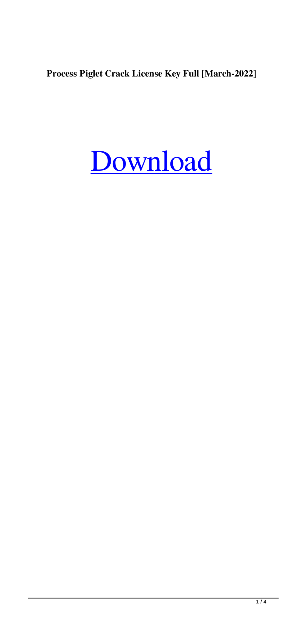**Process Piglet Crack License Key Full [March-2022]**

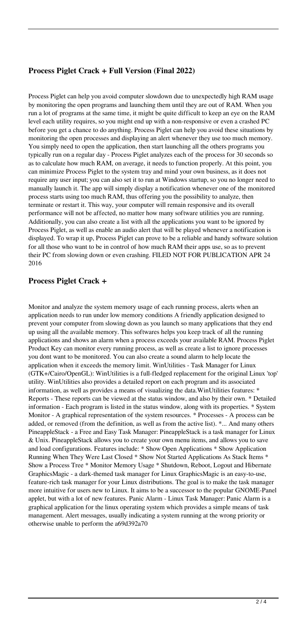### **Process Piglet Crack + Full Version (Final 2022)**

Process Piglet can help you avoid computer slowdown due to unexpectedly high RAM usage by monitoring the open programs and launching them until they are out of RAM. When you run a lot of programs at the same time, it might be quite difficult to keep an eye on the RAM level each utility requires, so you might end up with a non-responsive or even a crashed PC before you get a chance to do anything. Process Piglet can help you avoid these situations by monitoring the open processes and displaying an alert whenever they use too much memory. You simply need to open the application, then start launching all the others programs you typically run on a regular day - Process Piglet analyzes each of the process for 30 seconds so as to calculate how much RAM, on average, it needs to function properly. At this point, you can minimize Process Piglet to the system tray and mind your own business, as it does not require any user input; you can also set it to run at Windows startup, so you no longer need to manually launch it. The app will simply display a notification whenever one of the monitored process starts using too much RAM, thus offering you the possibility to analyze, then terminate or restart it. This way, your computer will remain responsive and its overall performance will not be affected, no matter how many software utilities you are running. Additionally, you can also create a list with all the applications you want to be ignored by Process Piglet, as well as enable an audio alert that will be played whenever a notification is displayed. To wrap it up, Process Piglet can prove to be a reliable and handy software solution for all those who want to be in control of how much RAM their apps use, so as to prevent their PC from slowing down or even crashing. FILED NOT FOR PUBLICATION APR 24 2016

#### **Process Piglet Crack +**

Monitor and analyze the system memory usage of each running process, alerts when an application needs to run under low memory conditions A friendly application designed to prevent your computer from slowing down as you launch so many applications that they end up using all the available memory. This softwares helps you keep track of all the running applications and shows an alarm when a process exceeds your available RAM. Process Piglet Product Key can monitor every running process, as well as create a list to ignore processes you dont want to be monitored. You can also create a sound alarm to help locate the application when it exceeds the memory limit. WinUtilities - Task Manager for Linux (GTK+/Cairo/OpenGL): WinUtilities is a full-fledged replacement for the original Linux 'top' utility. WinUtilities also provides a detailed report on each program and its associated information, as well as provides a means of visualizing the data.WinUtilities features: \* Reports - These reports can be viewed at the status window, and also by their own. \* Detailed information - Each program is listed in the status window, along with its properties. \* System Monitor - A graphical representation of the system resources. \* Processes - A process can be added, or removed (from the definition, as well as from the active list). \*... And many others PineappleStack - a Free and Easy Task Manager: PineappleStack is a task manager for Linux & Unix. PineappleStack allows you to create your own menu items, and allows you to save and load configurations. Features include: \* Show Open Applications \* Show Application Running When They Were Last Closed \* Show Not Started Applications As Stack Items \* Show a Process Tree \* Monitor Memory Usage \* Shutdown, Reboot, Logout and Hibernate GraphicsMagic - a dark-themed task manager for Linux GraphicsMagic is an easy-to-use, feature-rich task manager for your Linux distributions. The goal is to make the task manager more intuitive for users new to Linux. It aims to be a successor to the popular GNOME-Panel applet, but with a lot of new features. Panic Alarm - Linux Task Manager: Panic Alarm is a graphical application for the linux operating system which provides a simple means of task management. Alert messages, usually indicating a system running at the wrong priority or otherwise unable to perform the a69d392a70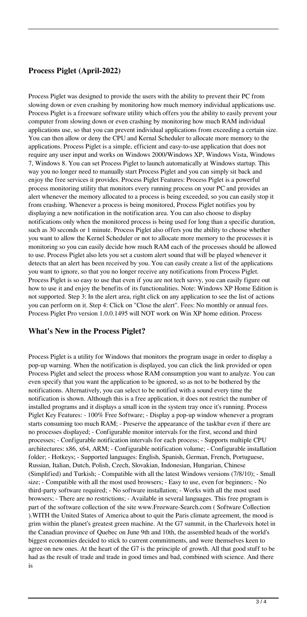## **Process Piglet (April-2022)**

Process Piglet was designed to provide the users with the ability to prevent their PC from slowing down or even crashing by monitoring how much memory individual applications use. Process Piglet is a freeware software utility which offers you the ability to easily prevent your computer from slowing down or even crashing by monitoring how much RAM individual applications use, so that you can prevent individual applications from exceeding a certain size. You can then allow or deny the CPU and Kernal Scheduler to allocate more memory to the applications. Process Piglet is a simple, efficient and easy-to-use application that does not require any user input and works on Windows 2000/Windows XP, Windows Vista, Windows 7, Windows 8. You can set Process Piglet to launch automatically at Windows startup. This way you no longer need to manually start Process Piglet and you can simply sit back and enjoy the free services it provides. Process Piglet Features: Process Piglet is a powerful process monitoring utility that monitors every running process on your PC and provides an alert whenever the memory allocated to a process is being exceeded, so you can easily stop it from crashing. Whenever a process is being monitored, Process Piglet notifies you by displaying a new notification in the notification area. You can also choose to display notifications only when the monitored process is being used for long than a specific duration, such as 30 seconds or 1 minute. Process Piglet also offers you the ability to choose whether you want to allow the Kernel Scheduler or not to allocate more memory to the processes it is monitoring so you can easily decide how much RAM each of the processes should be allowed to use. Process Piglet also lets you set a custom alert sound that will be played whenever it detects that an alert has been received by you. You can easily create a list of the applications you want to ignore, so that you no longer receive any notifications from Process Piglet. Process Piglet is so easy to use that even if you are not tech savvy, you can easily figure out how to use it and enjoy the benefits of its functionalities. Note: Windows XP Home Edition is not supported. Step 3: In the alert area, right click on any application to see the list of actions you can perform on it. Step 4: Click on "Close the alert". Fees: No monthly or annual fees. Process Piglet Pro version 1.0.0.1495 will NOT work on Win XP home edition. Process

#### **What's New in the Process Piglet?**

Process Piglet is a utility for Windows that monitors the program usage in order to display a pop-up warning. When the notification is displayed, you can click the link provided or open Process Piglet and select the process whose RAM consumption you want to analyze. You can even specify that you want the application to be ignored, so as not to be bothered by the notifications. Alternatively, you can select to be notified with a sound every time the notification is shown. Although this is a free application, it does not restrict the number of installed programs and it displays a small icon in the system tray once it's running. Process Piglet Key Features: - 100% Free Software; - Display a pop-up window whenever a program starts consuming too much RAM; - Preserve the appearance of the taskbar even if there are no processes displayed; - Configurable monitor intervals for the first, second and third processes; - Configurable notification intervals for each process; - Supports multiple CPU architectures: x86, x64, ARM; - Configurable notification volume; - Configurable installation folder; - Hotkeys; - Supported languages: English, Spanish, German, French, Portuguese, Russian, Italian, Dutch, Polish, Czech, Slovakian, Indonesian, Hungarian, Chinese (Simplified) and Turkish; - Compatible with all the latest Windows versions (7/8/10); - Small size; - Compatible with all the most used browsers; - Easy to use, even for beginners; - No third-party software required; - No software installation; - Works with all the most used browsers; - There are no restrictions; - Available in several languages. This free program is part of the software collection of the site www.Freeware-Search.com ( Software Collection ).WITH the United States of America about to quit the Paris climate agreement, the mood is grim within the planet's greatest green machine. At the G7 summit, in the Charlevoix hotel in the Canadian province of Quebec on June 9th and 10th, the assembled heads of the world's biggest economies decided to stick to current commitments, and were themselves keen to agree on new ones. At the heart of the G7 is the principle of growth. All that good stuff to be had as the result of trade and trade in good times and bad, combined with science. And there is